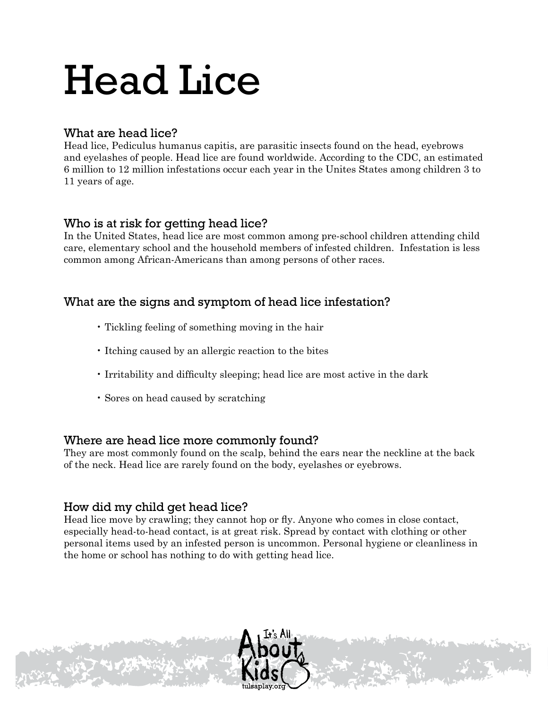# Head Lice

### What are head lice?

Head lice, Pediculus humanus capitis, are parasitic insects found on the head, eyebrows and eyelashes of people. Head lice are found worldwide. According to the CDC, an estimated 6 million to 12 million infestations occur each year in the Unites States among children 3 to 11 years of age.

#### Who is at risk for getting head lice?

In the United States, head lice are most common among pre-school children attending child care, elementary school and the household members of infested children. Infestation is less common among African-Americans than among persons of other races.

## What are the signs and symptom of head lice infestation?

- Tickling feeling of something moving in the hair
- Itching caused by an allergic reaction to the bites
- Irritability and difficulty sleeping; head lice are most active in the dark
- Sores on head caused by scratching

#### Where are head lice more commonly found?

They are most commonly found on the scalp, behind the ears near the neckline at the back of the neck. Head lice are rarely found on the body, eyelashes or eyebrows.

## How did my child get head lice?

Head lice move by crawling; they cannot hop or fly. Anyone who comes in close contact, especially head-to-head contact, is at great risk. Spread by contact with clothing or other personal items used by an infested person is uncommon. Personal hygiene or cleanliness in the home or school has nothing to do with getting head lice.